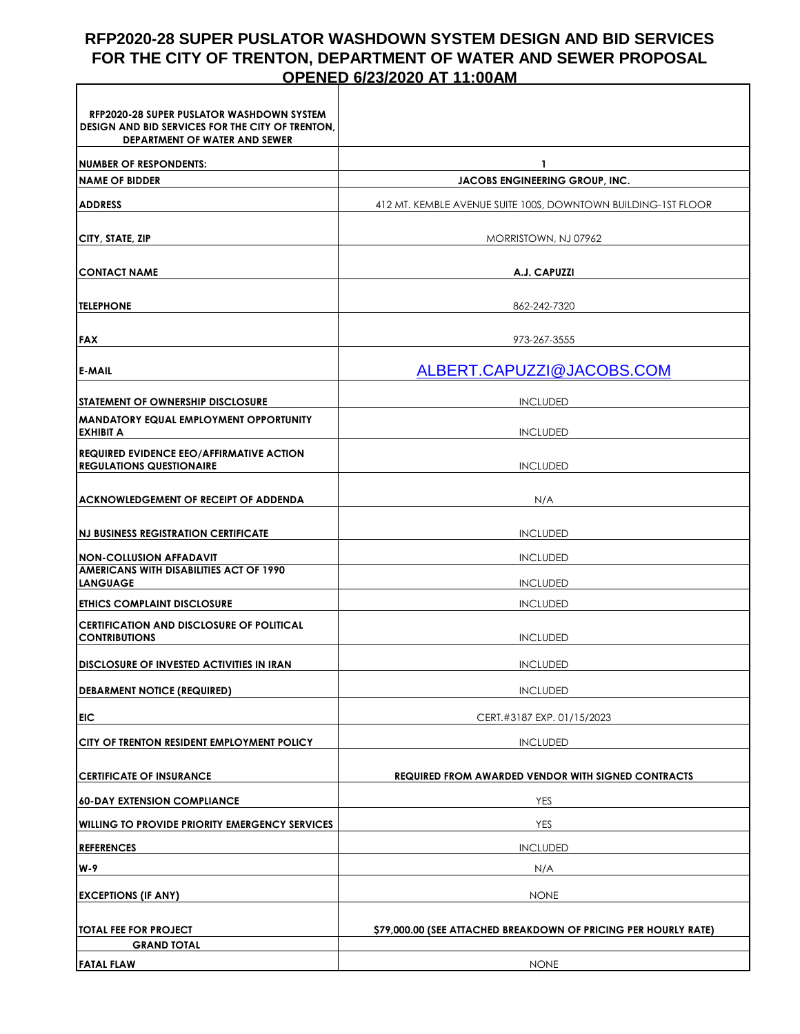## **RFP2020-28 SUPER PUSLATOR WASHDOWN SYSTEM DESIGN AND BID SERVICES FOR THE CITY OF TRENTON, DEPARTMENT OF WATER AND SEWER PROPOSAL OPENED 6/23/2020 AT 11:00AM**

| <b>RFP2020-28 SUPER PUSLATOR WASHDOWN SYSTEM</b>                                         |                                                                 |  |  |  |
|------------------------------------------------------------------------------------------|-----------------------------------------------------------------|--|--|--|
| DESIGN AND BID SERVICES FOR THE CITY OF TRENTON,<br><b>DEPARTMENT OF WATER AND SEWER</b> |                                                                 |  |  |  |
| <b>NUMBER OF RESPONDENTS:</b>                                                            | 1                                                               |  |  |  |
| <b>NAME OF BIDDER</b>                                                                    | JACOBS ENGINEERING GROUP, INC.                                  |  |  |  |
| <b>ADDRESS</b>                                                                           | 412 MT. KEMBLE AVENUE SUITE 100S, DOWNTOWN BUILDING-1ST FLOOR   |  |  |  |
| <b>CITY, STATE, ZIP</b>                                                                  | MORRISTOWN, NJ 07962                                            |  |  |  |
| <b>CONTACT NAME</b>                                                                      | A.J. CAPUZZI                                                    |  |  |  |
| <b>TELEPHONE</b>                                                                         | 862-242-7320                                                    |  |  |  |
| <b>FAX</b>                                                                               | 973-267-3555                                                    |  |  |  |
| <b>E-MAIL</b>                                                                            | ALBERT.CAPUZZI@JACOBS.COM                                       |  |  |  |
| <b>ISTATEMENT OF OWNERSHIP DISCLOSURE</b>                                                | <b>INCLUDED</b>                                                 |  |  |  |
| IMANDATORY EQUAL EMPLOYMENT OPPORTUNITY<br><b>EXHIBIT A</b>                              | <b>INCLUDED</b>                                                 |  |  |  |
| <b>REQUIRED EVIDENCE EEO/AFFIRMATIVE ACTION</b><br><b>REGULATIONS QUESTIONAIRE</b>       | <b>INCLUDED</b>                                                 |  |  |  |
| ACKNOWLEDGEMENT OF RECEIPT OF ADDENDA                                                    | N/A                                                             |  |  |  |
| <b>INJ BUSINESS REGISTRATION CERTIFICATE</b>                                             | <b>INCLUDED</b>                                                 |  |  |  |
| INON-COLLUSION AFFADAVIT                                                                 | <b>INCLUDED</b>                                                 |  |  |  |
| AMERICANS WITH DISABILITIES ACT OF 1990<br><b>LANGUAGE</b>                               | <b>INCLUDED</b>                                                 |  |  |  |
| <b>ETHICS COMPLAINT DISCLOSURE</b>                                                       | <b>INCLUDED</b>                                                 |  |  |  |
| <b>CERTIFICATION AND DISCLOSURE OF POLITICAL</b><br><b>CONTRIBUTIONS</b>                 | <b>INCLUDED</b>                                                 |  |  |  |
| <b>IDISCLOSURE OF INVESTED ACTIVITIES IN IRAN</b>                                        | <b>INCLUDED</b>                                                 |  |  |  |
| <b>DEBARMENT NOTICE (REQUIRED)</b>                                                       | <b>INCLUDED</b>                                                 |  |  |  |
| <b>EIC</b>                                                                               | CERT.#3187 EXP. 01/15/2023                                      |  |  |  |
| CITY OF TRENTON RESIDENT EMPLOYMENT POLICY                                               | <b>INCLUDED</b>                                                 |  |  |  |
| <b>CERTIFICATE OF INSURANCE</b>                                                          | <b>REQUIRED FROM AWARDED VENDOR WITH SIGNED CONTRACTS</b>       |  |  |  |
| <b>60-DAY EXTENSION COMPLIANCE</b>                                                       | <b>YES</b>                                                      |  |  |  |
| <b>WILLING TO PROVIDE PRIORITY EMERGENCY SERVICES</b>                                    | <b>YES</b>                                                      |  |  |  |
| <b>REFERENCES</b>                                                                        | <b>INCLUDED</b>                                                 |  |  |  |
| W-9                                                                                      | N/A                                                             |  |  |  |
| <b>EXCEPTIONS (IF ANY)</b>                                                               | <b>NONE</b>                                                     |  |  |  |
| <b>TOTAL FEE FOR PROJECT</b>                                                             | \$79,000.00 (SEE ATTACHED BREAKDOWN OF PRICING PER HOURLY RATE) |  |  |  |
| <b>GRAND TOTAL</b>                                                                       |                                                                 |  |  |  |
| <b>FATAL FLAW</b>                                                                        | <b>NONE</b>                                                     |  |  |  |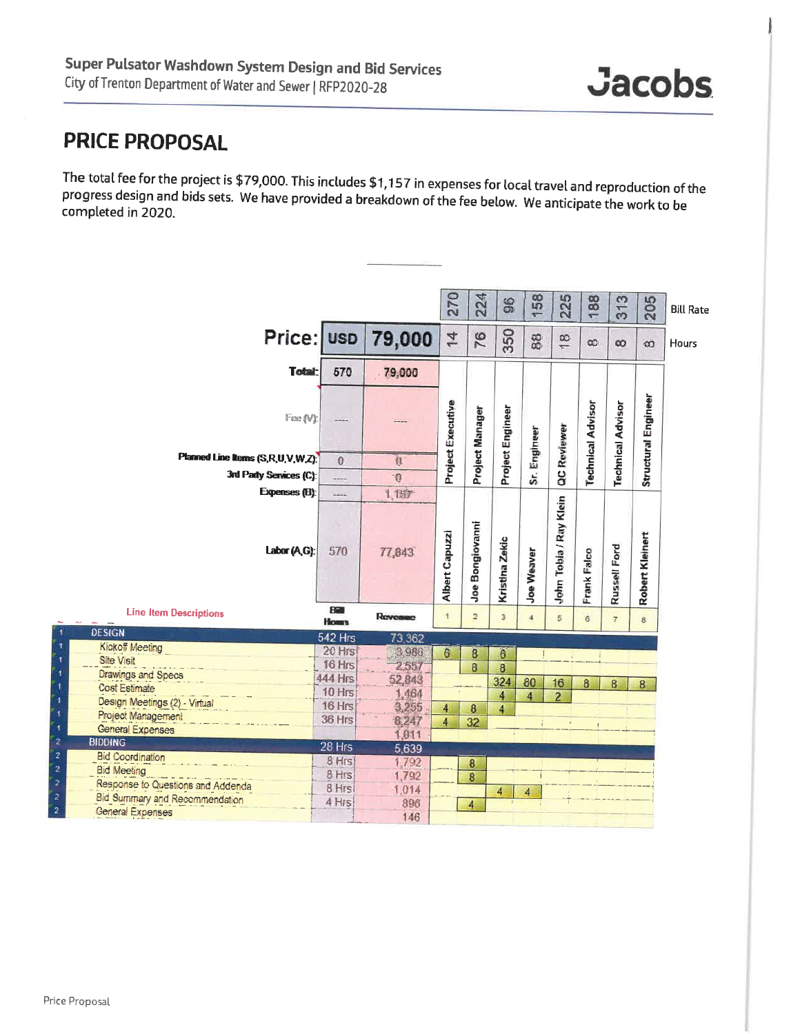## **PRICE PROPOSAL**

The total fee for the project is \$79,000. This includes \$1,157 in expenses for local travel and reproduction of the progress design and bids sets. We have provided a breakdown of the fee below. We anticipate the work to be completed in 2020.

|                                                       |                    |                | 270               | 224             | 96                      | 58<br>$\overline{\phantom{a}}$ | 225                    | 188                      | 313                      | 205                 | <b>Bill Rate</b> |
|-------------------------------------------------------|--------------------|----------------|-------------------|-----------------|-------------------------|--------------------------------|------------------------|--------------------------|--------------------------|---------------------|------------------|
| Price; usp                                            |                    | 79,000         | $\overline{4}$    | 76              | 350                     | $\frac{8}{8}$                  | œ<br>$\overline{ }$    | $\infty$                 | œ                        | $\infty$            | Hours            |
| Total.                                                | 570                | 79,000         |                   |                 |                         |                                |                        |                          |                          |                     |                  |
| Fass (V):                                             |                    |                | Project Executive | Project Manager | Project Engineer        | Sr. Engineer                   | QC Reviewer            | <b>Technical Advisor</b> | <b>Technical Advisor</b> | Structural Engineer |                  |
| Planned Line Items (S,R,U,V,W,Z):                     | $\theta$           | Ø.             |                   |                 |                         |                                |                        |                          |                          |                     |                  |
| 3rd Party Services (C):                               |                    | $\mathcal{B}$  |                   |                 |                         |                                |                        |                          |                          |                     |                  |
| Expenses (B):                                         |                    | 1,157          |                   |                 |                         |                                |                        |                          |                          |                     |                  |
| Labor (A,G):                                          | 570                | 77,843         | Albert Capuzzi    | Joe Bongiovanni | Kristina Zekic          | Joe Weaver                     | John Tobia / Ray Klein | Frank Falco              | Russell Ford             | Robert Kleinert     |                  |
| <b>Line Item Descriptions</b>                         | Ba<br><b>Hours</b> | Revenue        | $\mathbf{1}$      | $\overline{2}$  | $\overline{\mathbf{3}}$ | $\overline{4}$                 | $\overline{5}$         | 6                        | $\overline{7}$           | 8                   |                  |
| <b>DESIGN</b>                                         | <b>542 Hrs</b>     | 73,362         |                   |                 |                         |                                |                        |                          |                          |                     |                  |
| <b>Kickoff Meeting</b>                                | 20 Hrs             | 3.986          | 6                 | 8               | 6                       |                                |                        |                          |                          |                     |                  |
| Site Visit                                            | 16 Hrs             | 2557           |                   | 8               | 8                       |                                |                        |                          |                          |                     |                  |
| Drawings and Specs                                    | <b>444 Hrs</b>     | 52,843         |                   |                 | 324                     | 80                             | 16                     | 8                        | 8                        | 8                   |                  |
| <b>Cost Estimate</b><br>Design Meetings (2) - Virtual | 10 Hrs             | 1,464          |                   |                 | $\overline{4}$          | 4                              | $\overline{2}$         |                          |                          |                     |                  |
| Project Management                                    | 16 Hrs             | 3,255          | 4                 | 8               | 4                       |                                |                        |                          |                          |                     |                  |
| <b>General Expenses</b>                               | 36 Hrs             | 8,247          | 4                 | 32              |                         |                                |                        | ¥.                       |                          |                     |                  |
| <b>BIDDING</b>                                        | 28 Hrs             | 1,011          |                   |                 |                         |                                |                        |                          |                          |                     |                  |
| <b>Bid Coordination</b>                               | 8 Hrs              | 5,639          |                   |                 |                         |                                |                        |                          |                          |                     |                  |
| <b>Bid Meeting</b>                                    | 8 Hrs              | 1,792<br>1,792 |                   | $\bf{8}$        |                         |                                |                        |                          |                          |                     |                  |
| Response to Questions and Addenda                     | 8 Hrs              | 1.014          |                   | 8               |                         |                                |                        |                          |                          |                     |                  |
| <b>Bid Summary and Recommendation</b>                 | 4 Hrs              | 896            |                   | 4               | 4                       | 4                              |                        |                          |                          |                     |                  |
| General Expenses                                      |                    | 146            |                   |                 |                         |                                |                        |                          |                          |                     |                  |
|                                                       |                    |                |                   |                 |                         |                                |                        |                          |                          |                     |                  |